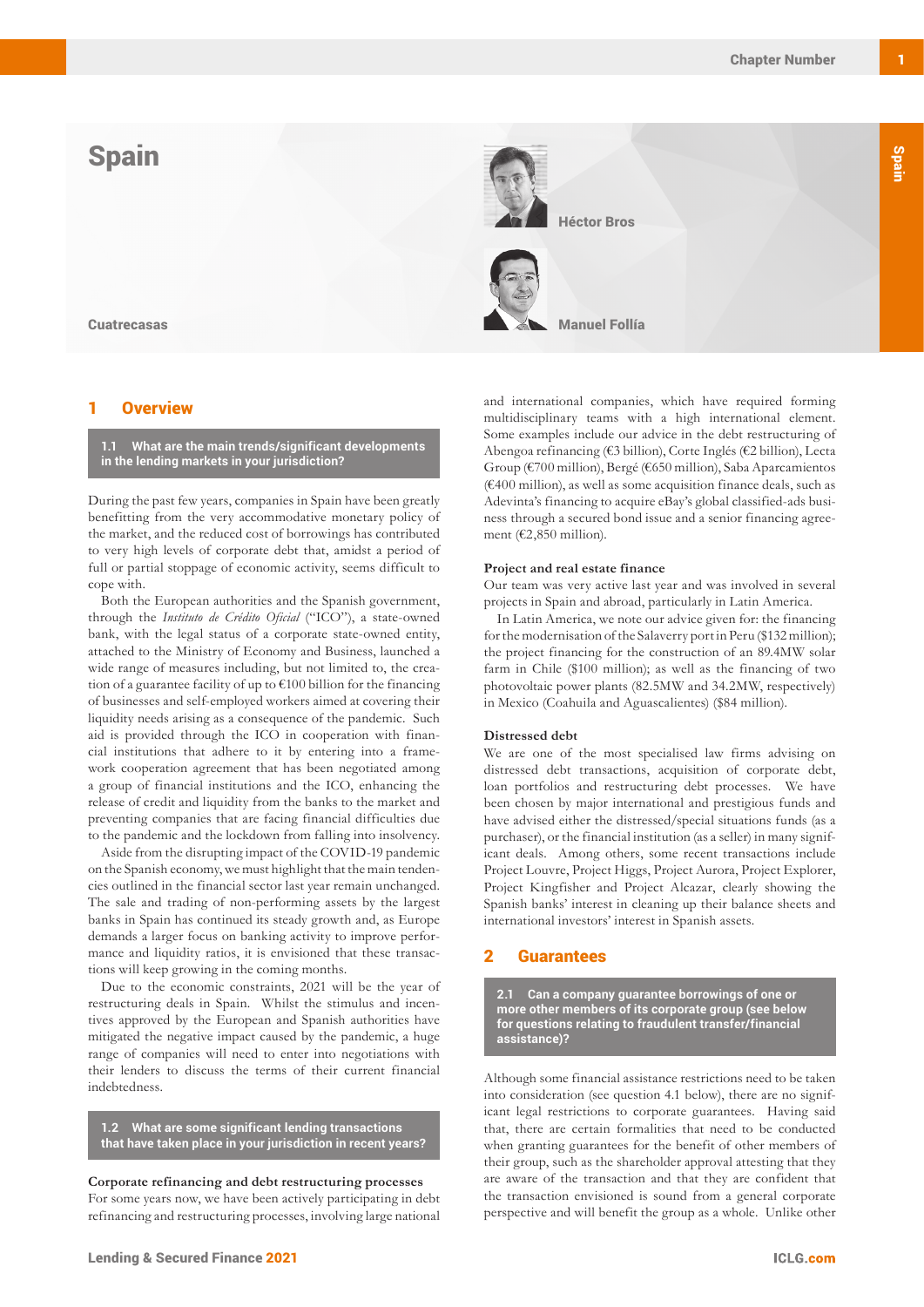# **Spain**



## **Overview**

**1.1 What are the main trends/significant developments in the lending markets in your jurisdiction?**

During the past few years, companies in Spain have been greatly benefitting from the very accommodative monetary policy of the market, and the reduced cost of borrowings has contributed to very high levels of corporate debt that, amidst a period of full or partial stoppage of economic activity, seems difficult to cope with.

Both the European authorities and the Spanish government, through the *Instituto de Crédito Oficial* ("ICO"), a state-owned bank, with the legal status of a corporate state-owned entity, attached to the Ministry of Economy and Business, launched a wide range of measures including, but not limited to, the creation of a guarantee facility of up to  $\epsilon$ 100 billion for the financing of businesses and self-employed workers aimed at covering their liquidity needs arising as a consequence of the pandemic. Such aid is provided through the ICO in cooperation with financial institutions that adhere to it by entering into a framework cooperation agreement that has been negotiated among a group of financial institutions and the ICO, enhancing the release of credit and liquidity from the banks to the market and preventing companies that are facing financial difficulties due to the pandemic and the lockdown from falling into insolvency.

Aside from the disrupting impact of the COVID-19 pandemic on the Spanish economy, we must highlight that the main tendencies outlined in the financial sector last year remain unchanged. The sale and trading of non-performing assets by the largest banks in Spain has continued its steady growth and, as Europe demands a larger focus on banking activity to improve performance and liquidity ratios, it is envisioned that these transactions will keep growing in the coming months.

Due to the economic constraints, 2021 will be the year of restructuring deals in Spain. Whilst the stimulus and incentives approved by the European and Spanish authorities have mitigated the negative impact caused by the pandemic, a huge range of companies will need to enter into negotiations with their lenders to discuss the terms of their current financial indebtedness.

**1.2 What are some significant lending transactions that have taken place in your jurisdiction in recent years?**

**Corporate refinancing and debt restructuring processes** For some years now, we have been actively participating in debt refinancing and restructuring processes, involving large national and international companies, which have required forming multidisciplinary teams with a high international element. Some examples include our advice in the debt restructuring of Abengoa refinancing (€3 billion), Corte Inglés (€2 billion), Lecta Group (€700 million), Bergé (€650 million), Saba Aparcamientos (€400 million), as well as some acquisition finance deals, such as Adevinta's financing to acquire eBay's global classified-ads business through a secured bond issue and a senior financing agreement (€2,850 million).

#### **Project and real estate finance**

Our team was very active last year and was involved in several projects in Spain and abroad, particularly in Latin America.

In Latin America, we note our advice given for: the financing for the modernisation of the Salaverry port in Peru (\$132 million); the project financing for the construction of an 89.4MW solar farm in Chile (\$100 million); as well as the financing of two photovoltaic power plants (82.5MW and 34.2MW, respectively) in Mexico (Coahuila and Aguascalientes) (\$84 million).

#### **Distressed debt**

We are one of the most specialised law firms advising on distressed debt transactions, acquisition of corporate debt, loan portfolios and restructuring debt processes. We have been chosen by major international and prestigious funds and have advised either the distressed/special situations funds (as a purchaser), or the financial institution (as a seller) in many significant deals. Among others, some recent transactions include Project Louvre, Project Higgs, Project Aurora, Project Explorer, Project Kingfisher and Project Alcazar, clearly showing the Spanish banks' interest in cleaning up their balance sheets and international investors' interest in Spanish assets.

## 2 Guarantees

**2.1 Can a company guarantee borrowings of one or more other members of its corporate group (see below for questions relating to fraudulent transfer/financial assistance)?**

Although some financial assistance restrictions need to be taken into consideration (see question 4.1 below), there are no significant legal restrictions to corporate guarantees. Having said that, there are certain formalities that need to be conducted when granting guarantees for the benefit of other members of their group, such as the shareholder approval attesting that they are aware of the transaction and that they are confident that the transaction envisioned is sound from a general corporate perspective and will benefit the group as a whole. Unlike other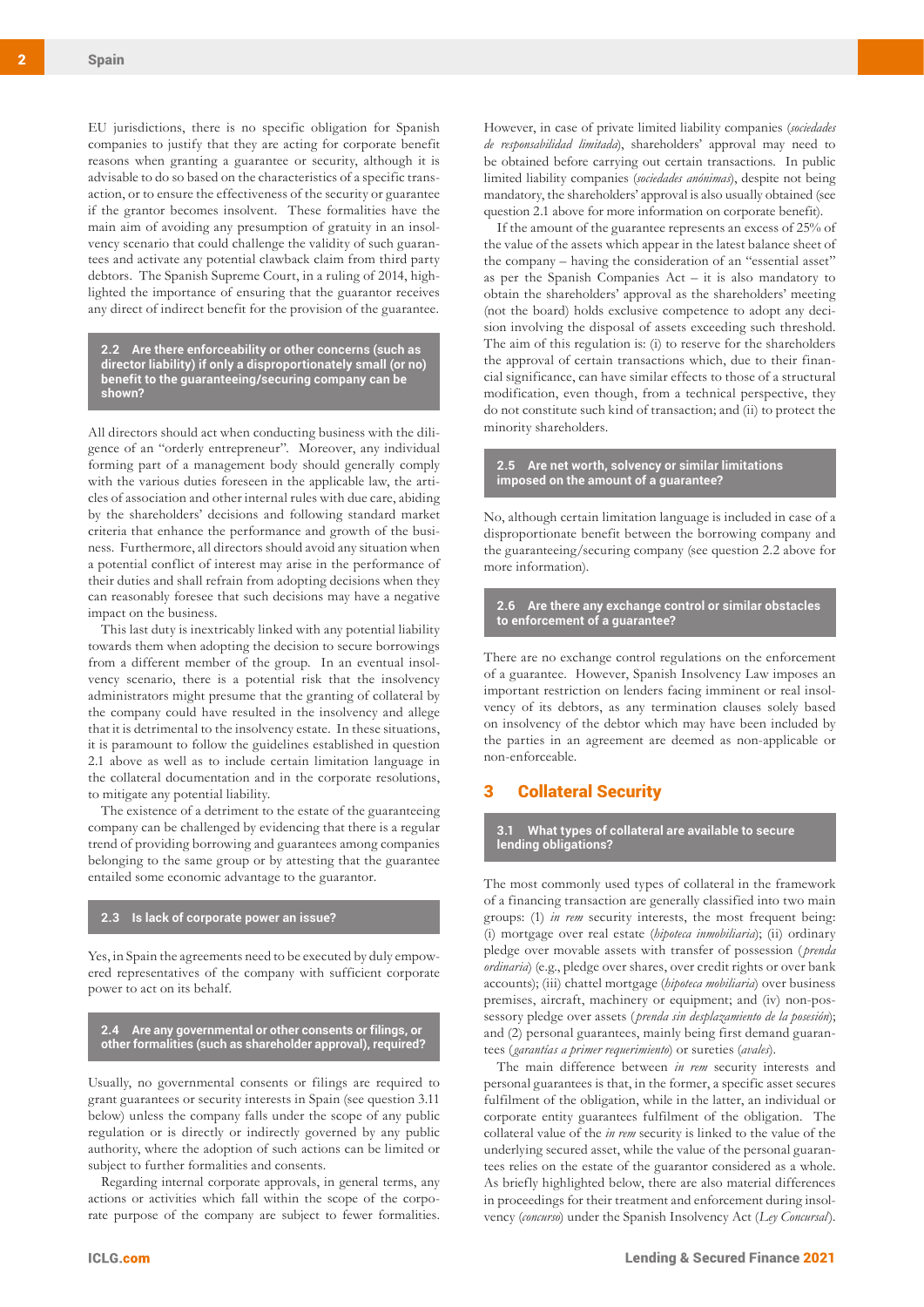**Spain** 

EU jurisdictions, there is no specific obligation for Spanish companies to justify that they are acting for corporate benefit reasons when granting a guarantee or security, although it is advisable to do so based on the characteristics of a specific transaction, or to ensure the effectiveness of the security or guarantee if the grantor becomes insolvent. These formalities have the main aim of avoiding any presumption of gratuity in an insolvency scenario that could challenge the validity of such guarantees and activate any potential clawback claim from third party debtors. The Spanish Supreme Court, in a ruling of 2014, highlighted the importance of ensuring that the guarantor receives any direct of indirect benefit for the provision of the guarantee.

**2.2 Are there enforceability or other concerns (such as director liability) if only a disproportionately small (or no) benefit to the guaranteeing/securing company can be shown?**

All directors should act when conducting business with the diligence of an "orderly entrepreneur". Moreover, any individual forming part of a management body should generally comply with the various duties foreseen in the applicable law, the articles of association and other internal rules with due care, abiding by the shareholders' decisions and following standard market criteria that enhance the performance and growth of the business. Furthermore, all directors should avoid any situation when a potential conflict of interest may arise in the performance of their duties and shall refrain from adopting decisions when they can reasonably foresee that such decisions may have a negative impact on the business.

This last duty is inextricably linked with any potential liability towards them when adopting the decision to secure borrowings from a different member of the group. In an eventual insolvency scenario, there is a potential risk that the insolvency administrators might presume that the granting of collateral by the company could have resulted in the insolvency and allege that it is detrimental to the insolvency estate. In these situations, it is paramount to follow the guidelines established in question 2.1 above as well as to include certain limitation language in the collateral documentation and in the corporate resolutions, to mitigate any potential liability.

The existence of a detriment to the estate of the guaranteeing company can be challenged by evidencing that there is a regular trend of providing borrowing and guarantees among companies belonging to the same group or by attesting that the guarantee entailed some economic advantage to the guarantor.

#### **2.3 Is lack of corporate power an issue?**

Yes, in Spain the agreements need to be executed by duly empowered representatives of the company with sufficient corporate power to act on its behalf.

**2.4 Are any governmental or other consents or filings, or other formalities (such as shareholder approval), required?**

Usually, no governmental consents or filings are required to grant guarantees or security interests in Spain (see question 3.11 below) unless the company falls under the scope of any public regulation or is directly or indirectly governed by any public authority, where the adoption of such actions can be limited or subject to further formalities and consents.

Regarding internal corporate approvals, in general terms, any actions or activities which fall within the scope of the corporate purpose of the company are subject to fewer formalities. However, in case of private limited liability companies (*sociedades de responsabilidad limitada*), shareholders' approval may need to be obtained before carrying out certain transactions. In public limited liability companies (*sociedades anónimas*), despite not being mandatory, the shareholders' approval is also usually obtained (see question 2.1 above for more information on corporate benefit).

If the amount of the guarantee represents an excess of 25% of the value of the assets which appear in the latest balance sheet of the company – having the consideration of an "essential asset" as per the Spanish Companies Act – it is also mandatory to obtain the shareholders' approval as the shareholders' meeting (not the board) holds exclusive competence to adopt any decision involving the disposal of assets exceeding such threshold. The aim of this regulation is: (i) to reserve for the shareholders the approval of certain transactions which, due to their financial significance, can have similar effects to those of a structural modification, even though, from a technical perspective, they do not constitute such kind of transaction; and (ii) to protect the minority shareholders.

#### **2.5 Are net worth, solvency or similar limitations imposed on the amount of a guarantee?**

No, although certain limitation language is included in case of a disproportionate benefit between the borrowing company and the guaranteeing/securing company (see question 2.2 above for more information).

**2.6 Are there any exchange control or similar obstacles to enforcement of a guarantee?**

There are no exchange control regulations on the enforcement of a guarantee. However, Spanish Insolvency Law imposes an important restriction on lenders facing imminent or real insolvency of its debtors, as any termination clauses solely based on insolvency of the debtor which may have been included by the parties in an agreement are deemed as non-applicable or non-enforceable.

## 3 Collateral Security

**3.1 What types of collateral are available to secure lending obligations?**

The most commonly used types of collateral in the framework of a financing transaction are generally classified into two main groups: (1) *in rem* security interests, the most frequent being: (i) mortgage over real estate (*hipoteca inmobiliaria*); (ii) ordinary pledge over movable assets with transfer of possession ( *prenda ordinaria*) (e.g., pledge over shares, over credit rights or over bank accounts); (iii) chattel mortgage (*hipoteca mobiliaria*) over business premises, aircraft, machinery or equipment; and (iv) non-possessory pledge over assets ( *prenda sin desplazamiento de la posesión*); and (2) personal guarantees, mainly being first demand guarantees (*garantías a primer requerimiento*) or sureties (*avales*).

The main difference between *in rem* security interests and personal guarantees is that, in the former, a specific asset secures fulfilment of the obligation, while in the latter, an individual or corporate entity guarantees fulfilment of the obligation. The collateral value of the *in rem* security is linked to the value of the underlying secured asset, while the value of the personal guarantees relies on the estate of the guarantor considered as a whole. As briefly highlighted below, there are also material differences in proceedings for their treatment and enforcement during insolvency (*concurso*) under the Spanish Insolvency Act (*Ley Concursal*).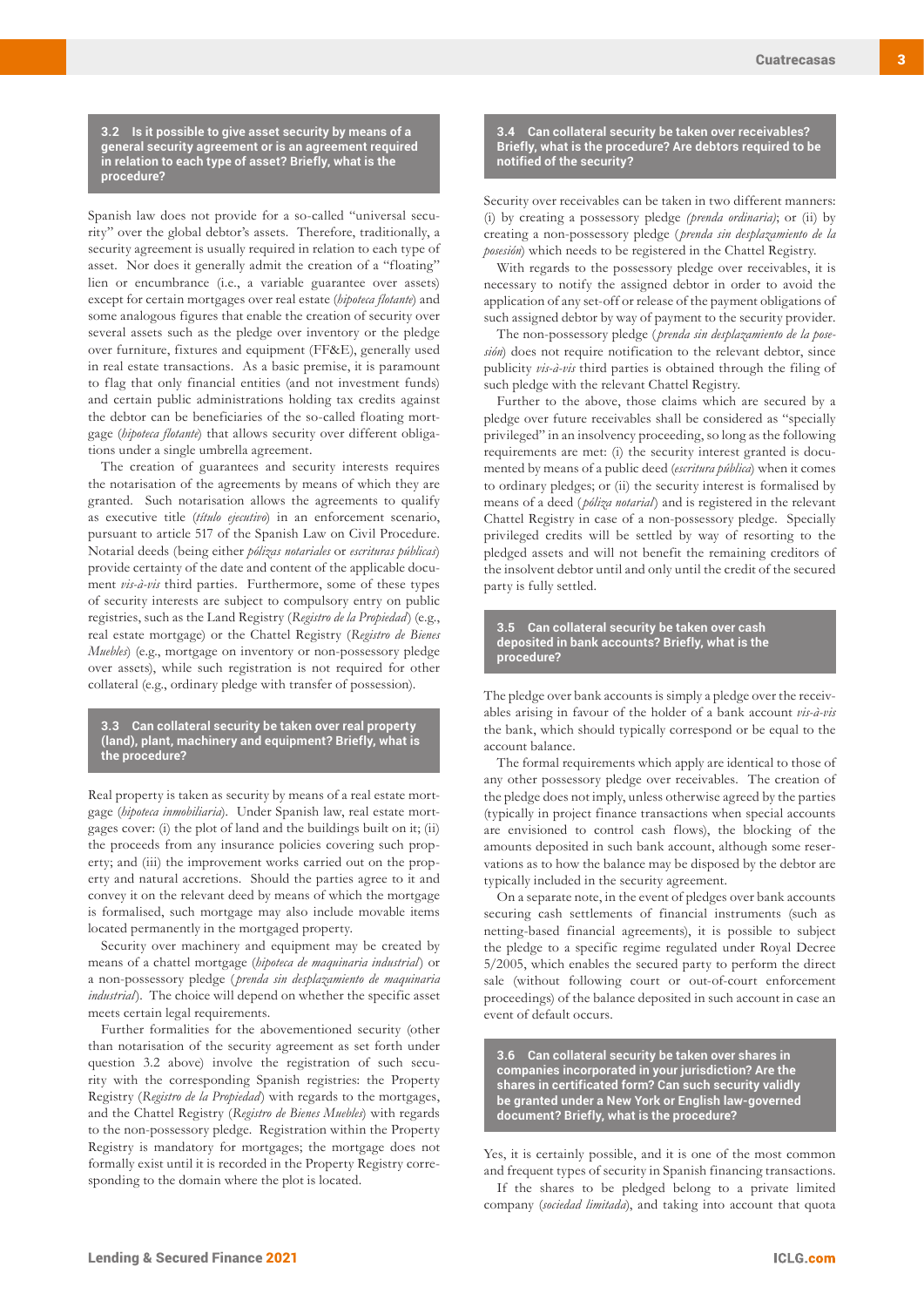**3.2 Is it possible to give asset security by means of a general security agreement or is an agreement required in relation to each type of asset? Briefly, what is the procedure?**

Spanish law does not provide for a so-called "universal security" over the global debtor's assets. Therefore, traditionally, a security agreement is usually required in relation to each type of asset. Nor does it generally admit the creation of a "floating" lien or encumbrance (i.e., a variable guarantee over assets) except for certain mortgages over real estate (*hipoteca flotante*) and some analogous figures that enable the creation of security over several assets such as the pledge over inventory or the pledge over furniture, fixtures and equipment (FF&E), generally used in real estate transactions. As a basic premise, it is paramount to flag that only financial entities (and not investment funds) and certain public administrations holding tax credits against the debtor can be beneficiaries of the so-called floating mortgage (*hipoteca flotante*) that allows security over different obligations under a single umbrella agreement.

The creation of guarantees and security interests requires the notarisation of the agreements by means of which they are granted. Such notarisation allows the agreements to qualify as executive title (*título ejecutivo*) in an enforcement scenario, pursuant to article 517 of the Spanish Law on Civil Procedure. Notarial deeds (being either *pólizas notariales* or *escrituras públicas*) provide certainty of the date and content of the applicable document *vis-à-vis* third parties. Furthermore, some of these types of security interests are subject to compulsory entry on public registries, such as the Land Registry (*Registro de la Propiedad*) (e.g., real estate mortgage) or the Chattel Registry (*Registro de Bienes Muebles*) (e.g., mortgage on inventory or non-possessory pledge over assets), while such registration is not required for other collateral (e.g., ordinary pledge with transfer of possession).

**3.3 Can collateral security be taken over real property (land), plant, machinery and equipment? Briefly, what is the procedure?**

Real property is taken as security by means of a real estate mortgage (*hipoteca inmobiliaria*). Under Spanish law, real estate mortgages cover: (i) the plot of land and the buildings built on it; (ii) the proceeds from any insurance policies covering such property; and (iii) the improvement works carried out on the property and natural accretions. Should the parties agree to it and convey it on the relevant deed by means of which the mortgage is formalised, such mortgage may also include movable items located permanently in the mortgaged property.

Security over machinery and equipment may be created by means of a chattel mortgage (*hipoteca de maquinaria industrial*) or a non-possessory pledge ( *prenda sin desplazamiento de maquinaria industrial*). The choice will depend on whether the specific asset meets certain legal requirements.

Further formalities for the abovementioned security (other than notarisation of the security agreement as set forth under question 3.2 above) involve the registration of such security with the corresponding Spanish registries: the Property Registry (*Registro de la Propiedad*) with regards to the mortgages, and the Chattel Registry (*Registro de Bienes Muebles*) with regards to the non-possessory pledge. Registration within the Property Registry is mandatory for mortgages; the mortgage does not formally exist until it is recorded in the Property Registry corresponding to the domain where the plot is located.

**3.4 Can collateral security be taken over receivables? Briefly, what is the procedure? Are debtors required to be notified of the security?**

Security over receivables can be taken in two different manners: (i) by creating a possessory pledge *(prenda ordinaria)*; or (ii) by creating a non-possessory pledge ( *prenda sin desplazamiento de la posesión*) which needs to be registered in the Chattel Registry.

With regards to the possessory pledge over receivables, it is necessary to notify the assigned debtor in order to avoid the application of any set-off or release of the payment obligations of such assigned debtor by way of payment to the security provider.

The non-possessory pledge ( *prenda sin desplazamiento de la posesión*) does not require notification to the relevant debtor, since publicity *vis-à-vis* third parties is obtained through the filing of such pledge with the relevant Chattel Registry.

Further to the above, those claims which are secured by a pledge over future receivables shall be considered as "specially privileged" in an insolvency proceeding, so long as the following requirements are met: (i) the security interest granted is documented by means of a public deed (*escritura pública*) when it comes to ordinary pledges; or (ii) the security interest is formalised by means of a deed ( *póliza notarial*) and is registered in the relevant Chattel Registry in case of a non-possessory pledge. Specially privileged credits will be settled by way of resorting to the pledged assets and will not benefit the remaining creditors of the insolvent debtor until and only until the credit of the secured party is fully settled.

**3.5 Can collateral security be taken over cash deposited in bank accounts? Briefly, what is the procedure?**

The pledge over bank accounts is simply a pledge over the receivables arising in favour of the holder of a bank account *vis-à-vis* the bank, which should typically correspond or be equal to the account balance.

The formal requirements which apply are identical to those of any other possessory pledge over receivables. The creation of the pledge does not imply, unless otherwise agreed by the parties (typically in project finance transactions when special accounts are envisioned to control cash flows), the blocking of the amounts deposited in such bank account, although some reservations as to how the balance may be disposed by the debtor are typically included in the security agreement.

On a separate note, in the event of pledges over bank accounts securing cash settlements of financial instruments (such as netting-based financial agreements), it is possible to subject the pledge to a specific regime regulated under Royal Decree 5/2005, which enables the secured party to perform the direct sale (without following court or out-of-court enforcement proceedings) of the balance deposited in such account in case an event of default occurs.

**3.6 Can collateral security be taken over shares in companies incorporated in your jurisdiction? Are the shares in certificated form? Can such security validly be granted under a New York or English law-governed document? Briefly, what is the procedure?**

Yes, it is certainly possible, and it is one of the most common and frequent types of security in Spanish financing transactions.

If the shares to be pledged belong to a private limited company (*sociedad limitada*), and taking into account that quota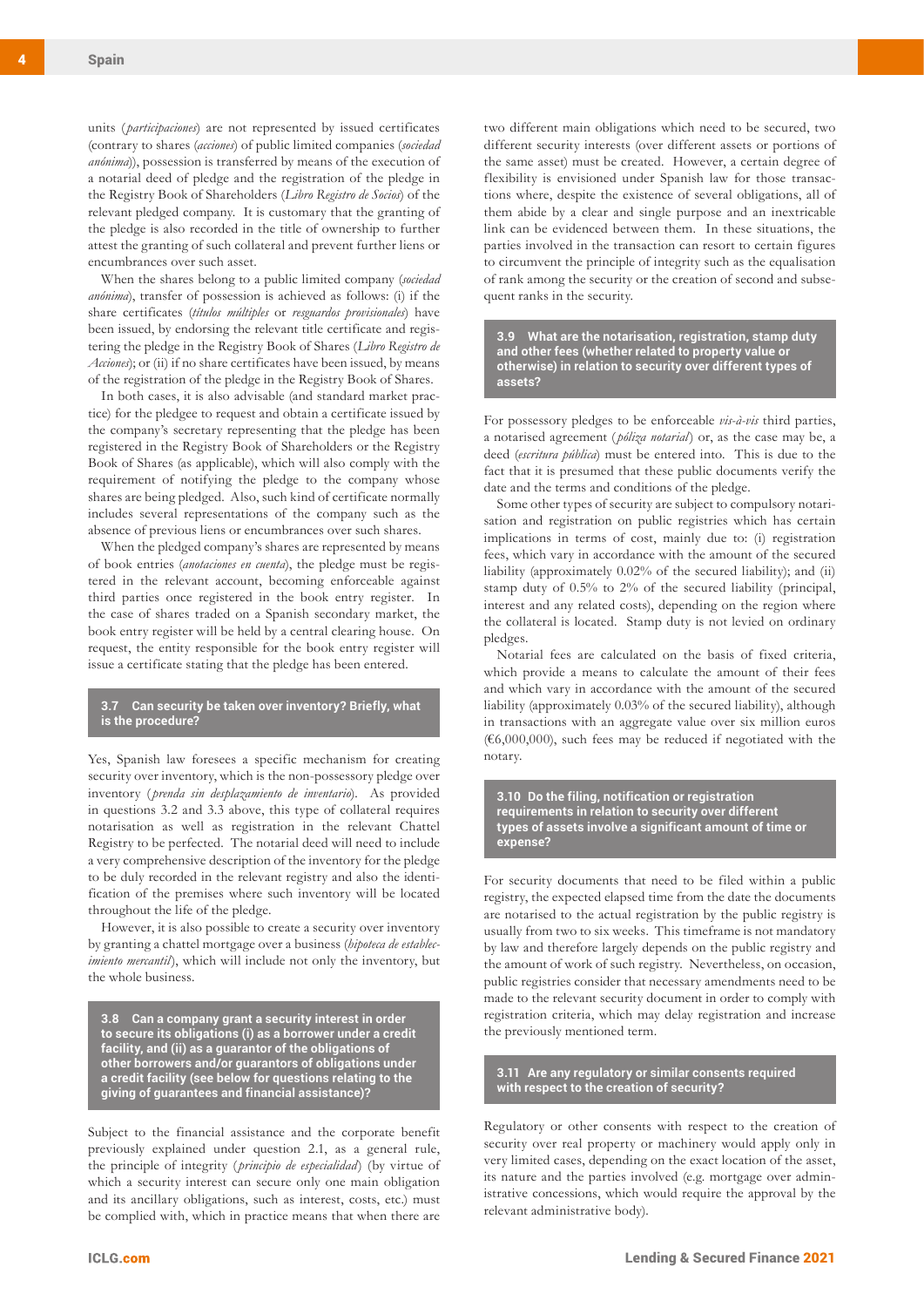units ( *participaciones*) are not represented by issued certificates (contrary to shares (*acciones*) of public limited companies (*sociedad anónima*)), possession is transferred by means of the execution of a notarial deed of pledge and the registration of the pledge in the Registry Book of Shareholders (*Libro Registro de Socios*) of the relevant pledged company. It is customary that the granting of the pledge is also recorded in the title of ownership to further attest the granting of such collateral and prevent further liens or encumbrances over such asset.

When the shares belong to a public limited company (*sociedad anónima*), transfer of possession is achieved as follows: (i) if the share certificates (*títulos múltiples* or *resguardos provisionales*) have been issued, by endorsing the relevant title certificate and registering the pledge in the Registry Book of Shares (*Libro Registro de Acciones*); or (ii) if no share certificates have been issued, by means of the registration of the pledge in the Registry Book of Shares.

In both cases, it is also advisable (and standard market practice) for the pledgee to request and obtain a certificate issued by the company's secretary representing that the pledge has been registered in the Registry Book of Shareholders or the Registry Book of Shares (as applicable), which will also comply with the requirement of notifying the pledge to the company whose shares are being pledged. Also, such kind of certificate normally includes several representations of the company such as the absence of previous liens or encumbrances over such shares.

When the pledged company's shares are represented by means of book entries (*anotaciones en cuenta*), the pledge must be registered in the relevant account, becoming enforceable against third parties once registered in the book entry register. In the case of shares traded on a Spanish secondary market, the book entry register will be held by a central clearing house. On request, the entity responsible for the book entry register will issue a certificate stating that the pledge has been entered.

#### **3.7 Can security be taken over inventory? Briefly, what is the procedure?**

Yes, Spanish law foresees a specific mechanism for creating security over inventory, which is the non-possessory pledge over inventory ( *prenda sin desplazamiento de inventario*). As provided in questions 3.2 and 3.3 above, this type of collateral requires notarisation as well as registration in the relevant Chattel Registry to be perfected. The notarial deed will need to include a very comprehensive description of the inventory for the pledge to be duly recorded in the relevant registry and also the identification of the premises where such inventory will be located throughout the life of the pledge.

However, it is also possible to create a security over inventory by granting a chattel mortgage over a business (*hipoteca de establecimiento mercantil*), which will include not only the inventory, but the whole business.

**3.8 Can a company grant a security interest in order to secure its obligations (i) as a borrower under a credit facility, and (ii) as a guarantor of the obligations of other borrowers and/or guarantors of obligations under a credit facility (see below for questions relating to the giving of guarantees and financial assistance)?**

Subject to the financial assistance and the corporate benefit previously explained under question 2.1, as a general rule, the principle of integrity ( *principio de especialidad*) (by virtue of which a security interest can secure only one main obligation and its ancillary obligations, such as interest, costs, etc.) must be complied with, which in practice means that when there are

two different main obligations which need to be secured, two different security interests (over different assets or portions of the same asset) must be created. However, a certain degree of flexibility is envisioned under Spanish law for those transactions where, despite the existence of several obligations, all of them abide by a clear and single purpose and an inextricable link can be evidenced between them. In these situations, the parties involved in the transaction can resort to certain figures to circumvent the principle of integrity such as the equalisation of rank among the security or the creation of second and subsequent ranks in the security.

**3.9 What are the notarisation, registration, stamp duty and other fees (whether related to property value or otherwise) in relation to security over different types of assets?**

For possessory pledges to be enforceable *vis-à-vis* third parties, a notarised agreement ( *póliza notarial*) or, as the case may be, a deed (*escritura pública*) must be entered into. This is due to the fact that it is presumed that these public documents verify the date and the terms and conditions of the pledge.

Some other types of security are subject to compulsory notarisation and registration on public registries which has certain implications in terms of cost, mainly due to: (i) registration fees, which vary in accordance with the amount of the secured liability (approximately 0.02% of the secured liability); and (ii) stamp duty of 0.5% to 2% of the secured liability (principal, interest and any related costs), depending on the region where the collateral is located. Stamp duty is not levied on ordinary pledges.

Notarial fees are calculated on the basis of fixed criteria, which provide a means to calculate the amount of their fees and which vary in accordance with the amount of the secured liability (approximately 0.03% of the secured liability), although in transactions with an aggregate value over six million euros ( $€6,000,000$ ), such fees may be reduced if negotiated with the notary.

**3.10 Do the filing, notification or registration requirements in relation to security over different types of assets involve a significant amount of time or expense?**

For security documents that need to be filed within a public registry, the expected elapsed time from the date the documents are notarised to the actual registration by the public registry is usually from two to six weeks. This timeframe is not mandatory by law and therefore largely depends on the public registry and the amount of work of such registry. Nevertheless, on occasion, public registries consider that necessary amendments need to be made to the relevant security document in order to comply with registration criteria, which may delay registration and increase the previously mentioned term.

**3.11 Are any regulatory or similar consents required with respect to the creation of security?**

Regulatory or other consents with respect to the creation of security over real property or machinery would apply only in very limited cases, depending on the exact location of the asset, its nature and the parties involved (e.g. mortgage over administrative concessions, which would require the approval by the relevant administrative body).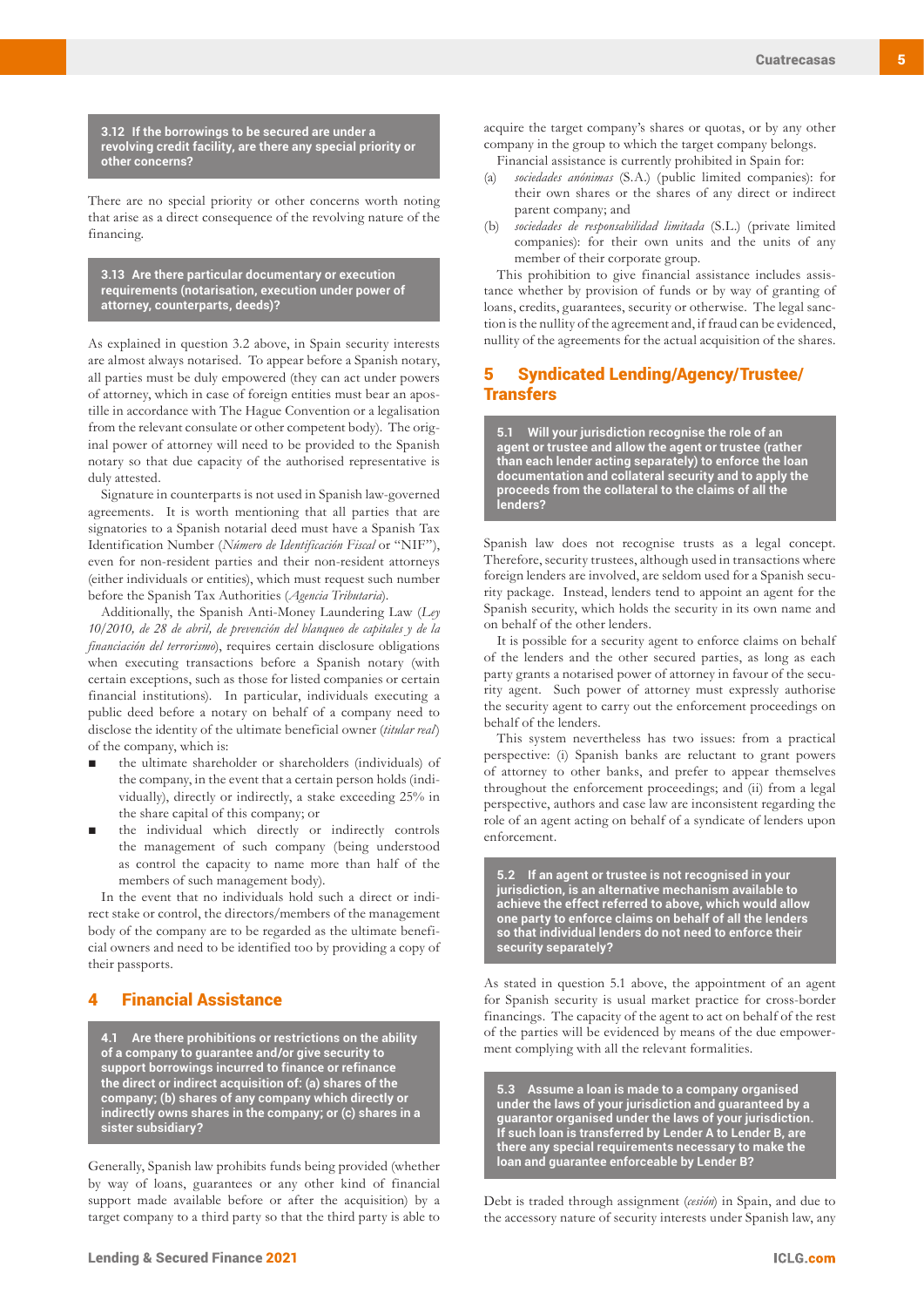**3.12 If the borrowings to be secured are under a revolving credit facility, are there any special priority or other concerns?**

There are no special priority or other concerns worth noting that arise as a direct consequence of the revolving nature of the financing.

**3.13 Are there particular documentary or execution requirements (notarisation, execution under power of attorney, counterparts, deeds)?**

As explained in question 3.2 above, in Spain security interests are almost always notarised. To appear before a Spanish notary, all parties must be duly empowered (they can act under powers of attorney, which in case of foreign entities must bear an apostille in accordance with The Hague Convention or a legalisation from the relevant consulate or other competent body). The original power of attorney will need to be provided to the Spanish notary so that due capacity of the authorised representative is duly attested.

Signature in counterparts is not used in Spanish law-governed agreements. It is worth mentioning that all parties that are signatories to a Spanish notarial deed must have a Spanish Tax Identification Number (*Número de Identificación Fiscal* or "NIF"), even for non-resident parties and their non-resident attorneys (either individuals or entities), which must request such number before the Spanish Tax Authorities (*Agencia Tributaria*).

Additionally, the Spanish Anti-Money Laundering Law (*Ley 10/2010, de 28 de abril, de prevención del blanqueo de capitales y de la financiación del terrorismo*), requires certain disclosure obligations when executing transactions before a Spanish notary (with certain exceptions, such as those for listed companies or certain financial institutions). In particular, individuals executing a public deed before a notary on behalf of a company need to disclose the identity of the ultimate beneficial owner (*titular real*) of the company, which is:

- the ultimate shareholder or shareholders (individuals) of the company, in the event that a certain person holds (individually), directly or indirectly, a stake exceeding 25% in the share capital of this company; or
- the individual which directly or indirectly controls the management of such company (being understood as control the capacity to name more than half of the members of such management body).

In the event that no individuals hold such a direct or indirect stake or control, the directors/members of the management body of the company are to be regarded as the ultimate beneficial owners and need to be identified too by providing a copy of their passports.

# **Financial Assistance**

**4.1 Are there prohibitions or restrictions on the ability of a company to guarantee and/or give security to support borrowings incurred to finance or refinance the direct or indirect acquisition of: (a) shares of the company; (b) shares of any company which directly or indirectly owns shares in the company; or (c) shares in a sister subsidiary?**

Generally, Spanish law prohibits funds being provided (whether by way of loans, guarantees or any other kind of financial support made available before or after the acquisition) by a target company to a third party so that the third party is able to

acquire the target company's shares or quotas, or by any other company in the group to which the target company belongs.

Financial assistance is currently prohibited in Spain for:

- (a) *sociedades anónimas* (S.A.) (public limited companies): for their own shares or the shares of any direct or indirect parent company; and
- (b) *sociedades de responsabilidad limitada* (S.L.) (private limited companies): for their own units and the units of any member of their corporate group.

This prohibition to give financial assistance includes assistance whether by provision of funds or by way of granting of loans, credits, guarantees, security or otherwise. The legal sanction is the nullity of the agreement and, if fraud can be evidenced, nullity of the agreements for the actual acquisition of the shares.

# 5 Syndicated Lending/Agency/Trustee/ **Transfers**

**5.1 Will your jurisdiction recognise the role of an agent or trustee and allow the agent or trustee (rather than each lender acting separately) to enforce the loan documentation and collateral security and to apply the proceeds from the collateral to the claims of all the lenders?**

Spanish law does not recognise trusts as a legal concept. Therefore, security trustees, although used in transactions where foreign lenders are involved, are seldom used for a Spanish security package. Instead, lenders tend to appoint an agent for the Spanish security, which holds the security in its own name and on behalf of the other lenders.

It is possible for a security agent to enforce claims on behalf of the lenders and the other secured parties, as long as each party grants a notarised power of attorney in favour of the security agent. Such power of attorney must expressly authorise the security agent to carry out the enforcement proceedings on behalf of the lenders.

This system nevertheless has two issues: from a practical perspective: (i) Spanish banks are reluctant to grant powers of attorney to other banks, and prefer to appear themselves throughout the enforcement proceedings; and (ii) from a legal perspective, authors and case law are inconsistent regarding the role of an agent acting on behalf of a syndicate of lenders upon enforcement.

**5.2 If an agent or trustee is not recognised in your jurisdiction, is an alternative mechanism available to achieve the effect referred to above, which would allow one party to enforce claims on behalf of all the lenders so that individual lenders do not need to enforce their security separately?**

As stated in question 5.1 above, the appointment of an agent for Spanish security is usual market practice for cross-border financings. The capacity of the agent to act on behalf of the rest of the parties will be evidenced by means of the due empowerment complying with all the relevant formalities.

**5.3 Assume a loan is made to a company organised under the laws of your jurisdiction and guaranteed by a guarantor organised under the laws of your jurisdiction. If such loan is transferred by Lender A to Lender B, are there any special requirements necessary to make the loan and guarantee enforceable by Lender B?**

Debt is traded through assignment (*cesión*) in Spain, and due to the accessory nature of security interests under Spanish law, any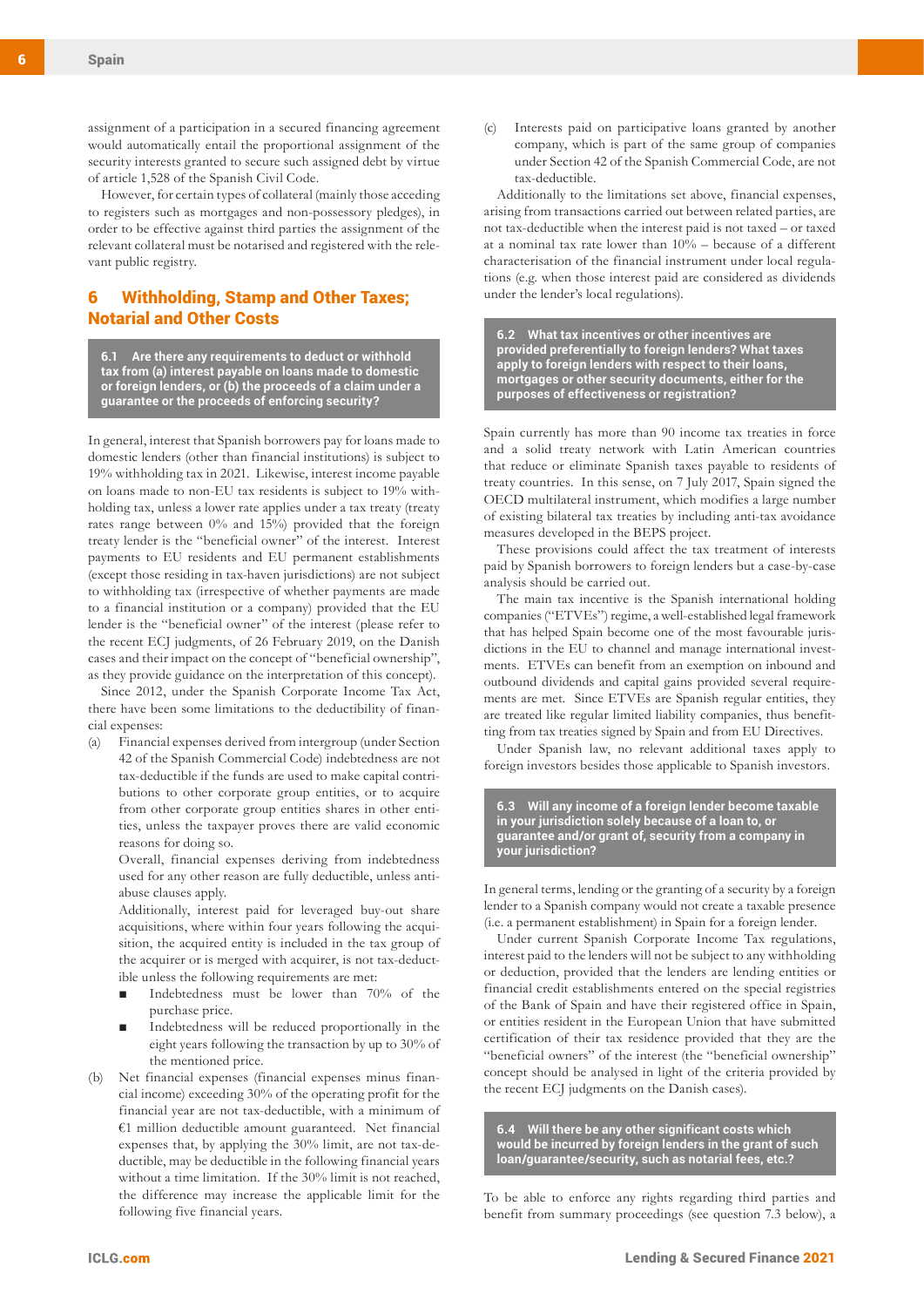assignment of a participation in a secured financing agreement would automatically entail the proportional assignment of the security interests granted to secure such assigned debt by virtue of article 1,528 of the Spanish Civil Code.

However, for certain types of collateral (mainly those acceding to registers such as mortgages and non-possessory pledges), in order to be effective against third parties the assignment of the relevant collateral must be notarised and registered with the relevant public registry.

# 6 Withholding, Stamp and Other Taxes; Notarial and Other Costs

**6.1 Are there any requirements to deduct or withhold tax from (a) interest payable on loans made to domestic or foreign lenders, or (b) the proceeds of a claim under a guarantee or the proceeds of enforcing security?**

In general, interest that Spanish borrowers pay for loans made to domestic lenders (other than financial institutions) is subject to 19% withholding tax in 2021. Likewise, interest income payable on loans made to non-EU tax residents is subject to 19% withholding tax, unless a lower rate applies under a tax treaty (treaty rates range between 0% and 15%) provided that the foreign treaty lender is the "beneficial owner" of the interest. Interest payments to EU residents and EU permanent establishments (except those residing in tax-haven jurisdictions) are not subject to withholding tax (irrespective of whether payments are made to a financial institution or a company) provided that the EU lender is the "beneficial owner" of the interest (please refer to the recent ECJ judgments, of 26 February 2019, on the Danish cases and their impact on the concept of "beneficial ownership", as they provide guidance on the interpretation of this concept).

Since 2012, under the Spanish Corporate Income Tax Act, there have been some limitations to the deductibility of financial expenses:

(a) Financial expenses derived from intergroup (under Section 42 of the Spanish Commercial Code) indebtedness are not tax-deductible if the funds are used to make capital contributions to other corporate group entities, or to acquire from other corporate group entities shares in other entities, unless the taxpayer proves there are valid economic reasons for doing so.

Overall, financial expenses deriving from indebtedness used for any other reason are fully deductible, unless antiabuse clauses apply.

Additionally, interest paid for leveraged buy-out share acquisitions, where within four years following the acquisition, the acquired entity is included in the tax group of the acquirer or is merged with acquirer, is not tax-deductible unless the following requirements are met:

- Indebtedness must be lower than 70% of the purchase price.
- Indebtedness will be reduced proportionally in the eight years following the transaction by up to 30% of the mentioned price.
- (b) Net financial expenses (financial expenses minus financial income) exceeding 30% of the operating profit for the financial year are not tax-deductible, with a minimum of €1 million deductible amount guaranteed. Net financial expenses that, by applying the 30% limit, are not tax-deductible, may be deductible in the following financial years without a time limitation. If the 30% limit is not reached, the difference may increase the applicable limit for the following five financial years.

(c) Interests paid on participative loans granted by another company, which is part of the same group of companies under Section 42 of the Spanish Commercial Code, are not tax-deductible.

Additionally to the limitations set above, financial expenses, arising from transactions carried out between related parties, are not tax-deductible when the interest paid is not taxed – or taxed at a nominal tax rate lower than 10% – because of a different characterisation of the financial instrument under local regulations (e.g. when those interest paid are considered as dividends under the lender's local regulations).

**6.2 What tax incentives or other incentives are provided preferentially to foreign lenders? What taxes apply to foreign lenders with respect to their loans, mortgages or other security documents, either for the purposes of effectiveness or registration?**

Spain currently has more than 90 income tax treaties in force and a solid treaty network with Latin American countries that reduce or eliminate Spanish taxes payable to residents of treaty countries. In this sense, on 7 July 2017, Spain signed the OECD multilateral instrument, which modifies a large number of existing bilateral tax treaties by including anti-tax avoidance measures developed in the BEPS project.

These provisions could affect the tax treatment of interests paid by Spanish borrowers to foreign lenders but a case-by-case analysis should be carried out.

The main tax incentive is the Spanish international holding companies ("ETVEs") regime, a well-established legal framework that has helped Spain become one of the most favourable jurisdictions in the EU to channel and manage international investments. ETVEs can benefit from an exemption on inbound and outbound dividends and capital gains provided several requirements are met. Since ETVEs are Spanish regular entities, they are treated like regular limited liability companies, thus benefitting from tax treaties signed by Spain and from EU Directives.

Under Spanish law, no relevant additional taxes apply to foreign investors besides those applicable to Spanish investors.

**6.3 Will any income of a foreign lender become taxable in your jurisdiction solely because of a loan to, or guarantee and/or grant of, security from a company in your jurisdiction?**

In general terms, lending or the granting of a security by a foreign lender to a Spanish company would not create a taxable presence (i.e. a permanent establishment) in Spain for a foreign lender.

Under current Spanish Corporate Income Tax regulations, interest paid to the lenders will not be subject to any withholding or deduction, provided that the lenders are lending entities or financial credit establishments entered on the special registries of the Bank of Spain and have their registered office in Spain, or entities resident in the European Union that have submitted certification of their tax residence provided that they are the "beneficial owners" of the interest (the "beneficial ownership" concept should be analysed in light of the criteria provided by the recent ECJ judgments on the Danish cases).

**6.4 Will there be any other significant costs which would be incurred by foreign lenders in the grant of such loan/guarantee/security, such as notarial fees, etc.?**

To be able to enforce any rights regarding third parties and benefit from summary proceedings (see question 7.3 below), a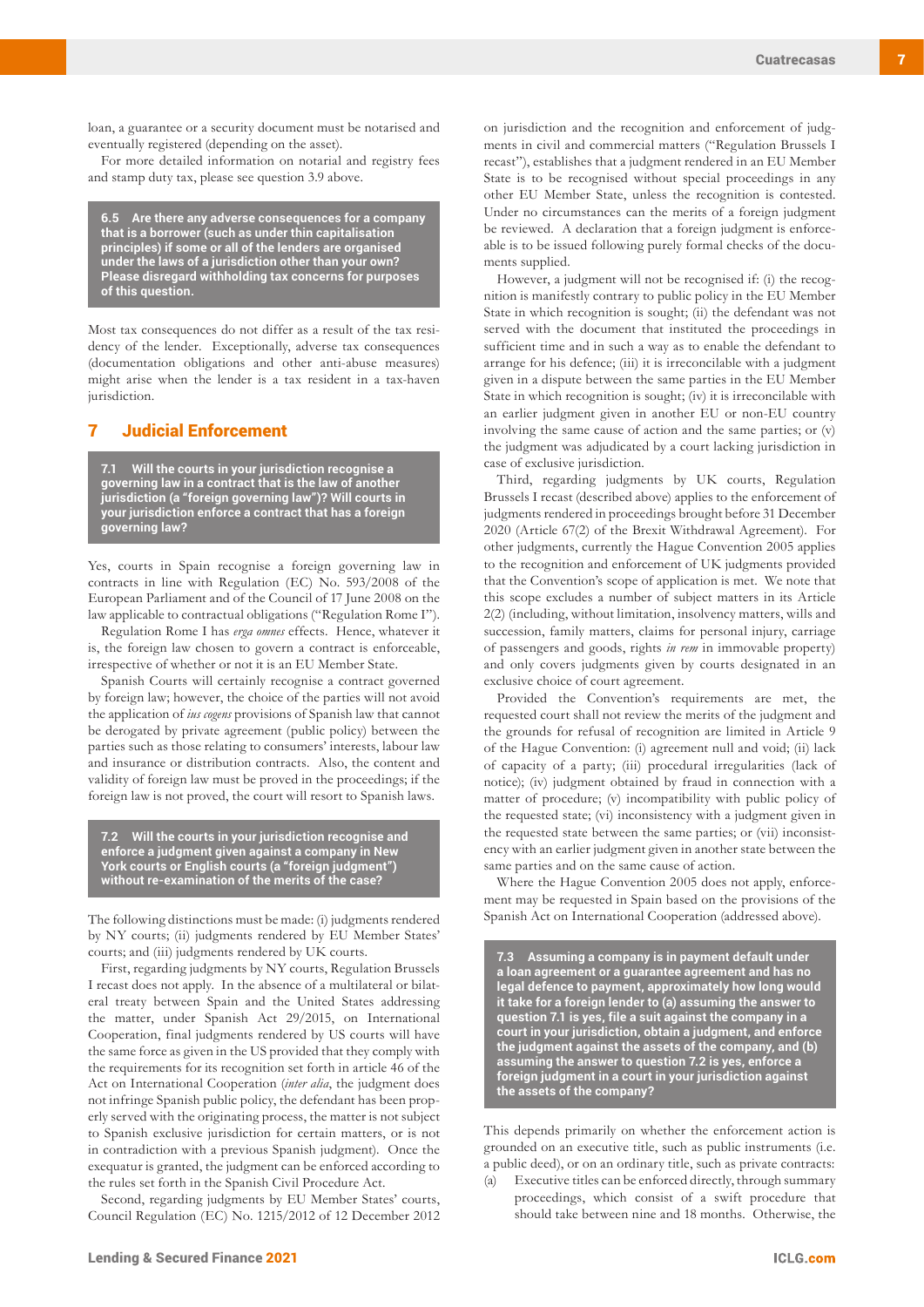loan, a guarantee or a security document must be notarised and eventually registered (depending on the asset).

For more detailed information on notarial and registry fees and stamp duty tax, please see question 3.9 above.

**6.5 Are there any adverse consequences for a company that is a borrower (such as under thin capitalisation principles) if some or all of the lenders are organised under the laws of a jurisdiction other than your own? Please disregard withholding tax concerns for purposes of this question.**

Most tax consequences do not differ as a result of the tax residency of the lender. Exceptionally, adverse tax consequences (documentation obligations and other anti-abuse measures) might arise when the lender is a tax resident in a tax-haven jurisdiction.

### 7 Judicial Enforcement

**7.1 Will the courts in your jurisdiction recognise a governing law in a contract that is the law of another jurisdiction (a "foreign governing law")? Will courts in your jurisdiction enforce a contract that has a foreign governing law?**

Yes, courts in Spain recognise a foreign governing law in contracts in line with Regulation (EC) No. 593/2008 of the European Parliament and of the Council of 17 June 2008 on the law applicable to contractual obligations ("Regulation Rome I").

Regulation Rome I has *erga omnes* effects. Hence, whatever it is, the foreign law chosen to govern a contract is enforceable, irrespective of whether or not it is an EU Member State.

Spanish Courts will certainly recognise a contract governed by foreign law; however, the choice of the parties will not avoid the application of *ius cogens* provisions of Spanish law that cannot be derogated by private agreement (public policy) between the parties such as those relating to consumers' interests, labour law and insurance or distribution contracts. Also, the content and validity of foreign law must be proved in the proceedings; if the foreign law is not proved, the court will resort to Spanish laws.

**7.2 Will the courts in your jurisdiction recognise and enforce a judgment given against a company in New York courts or English courts (a "foreign judgment") without re-examination of the merits of the case?**

The following distinctions must be made: (i) judgments rendered by NY courts; (ii) judgments rendered by EU Member States' courts; and (iii) judgments rendered by UK courts.

First, regarding judgments by NY courts, Regulation Brussels I recast does not apply. In the absence of a multilateral or bilateral treaty between Spain and the United States addressing the matter, under Spanish Act 29/2015, on International Cooperation, final judgments rendered by US courts will have the same force as given in the US provided that they comply with the requirements for its recognition set forth in article 46 of the Act on International Cooperation (*inter alia*, the judgment does not infringe Spanish public policy, the defendant has been properly served with the originating process, the matter is not subject to Spanish exclusive jurisdiction for certain matters, or is not in contradiction with a previous Spanish judgment). Once the exequatur is granted, the judgment can be enforced according to the rules set forth in the Spanish Civil Procedure Act.

Second, regarding judgments by EU Member States' courts, Council Regulation (EC) No. 1215/2012 of 12 December 2012 on jurisdiction and the recognition and enforcement of judgments in civil and commercial matters ("Regulation Brussels I recast"), establishes that a judgment rendered in an EU Member State is to be recognised without special proceedings in any other EU Member State, unless the recognition is contested. Under no circumstances can the merits of a foreign judgment be reviewed. A declaration that a foreign judgment is enforceable is to be issued following purely formal checks of the documents supplied.

However, a judgment will not be recognised if: (i) the recognition is manifestly contrary to public policy in the EU Member State in which recognition is sought; (ii) the defendant was not served with the document that instituted the proceedings in sufficient time and in such a way as to enable the defendant to arrange for his defence; (iii) it is irreconcilable with a judgment given in a dispute between the same parties in the EU Member State in which recognition is sought; (iv) it is irreconcilable with an earlier judgment given in another EU or non-EU country involving the same cause of action and the same parties; or (v) the judgment was adjudicated by a court lacking jurisdiction in case of exclusive jurisdiction.

Third, regarding judgments by UK courts, Regulation Brussels I recast (described above) applies to the enforcement of judgments rendered in proceedings brought before 31 December 2020 (Article 67(2) of the Brexit Withdrawal Agreement). For other judgments, currently the Hague Convention 2005 applies to the recognition and enforcement of UK judgments provided that the Convention's scope of application is met. We note that this scope excludes a number of subject matters in its Article 2(2) (including, without limitation, insolvency matters, wills and succession, family matters, claims for personal injury, carriage of passengers and goods, rights *in rem* in immovable property) and only covers judgments given by courts designated in an exclusive choice of court agreement.

Provided the Convention's requirements are met, the requested court shall not review the merits of the judgment and the grounds for refusal of recognition are limited in Article 9 of the Hague Convention: (i) agreement null and void; (ii) lack of capacity of a party; (iii) procedural irregularities (lack of notice); (iv) judgment obtained by fraud in connection with a matter of procedure; (v) incompatibility with public policy of the requested state; (vi) inconsistency with a judgment given in the requested state between the same parties; or (vii) inconsistency with an earlier judgment given in another state between the same parties and on the same cause of action.

Where the Hague Convention 2005 does not apply, enforcement may be requested in Spain based on the provisions of the Spanish Act on International Cooperation (addressed above).

**7.3 Assuming a company is in payment default under a loan agreement or a guarantee agreement and has no legal defence to payment, approximately how long would it take for a foreign lender to (a) assuming the answer to question 7.1 is yes, file a suit against the company in a court in your jurisdiction, obtain a judgment, and enforce the judgment against the assets of the company, and (b) assuming the answer to question 7.2 is yes, enforce a foreign judgment in a court in your jurisdiction against the assets of the company?**

This depends primarily on whether the enforcement action is grounded on an executive title, such as public instruments (i.e. a public deed), or on an ordinary title, such as private contracts:

(a) Executive titles can be enforced directly, through summary proceedings, which consist of a swift procedure that should take between nine and 18 months. Otherwise, the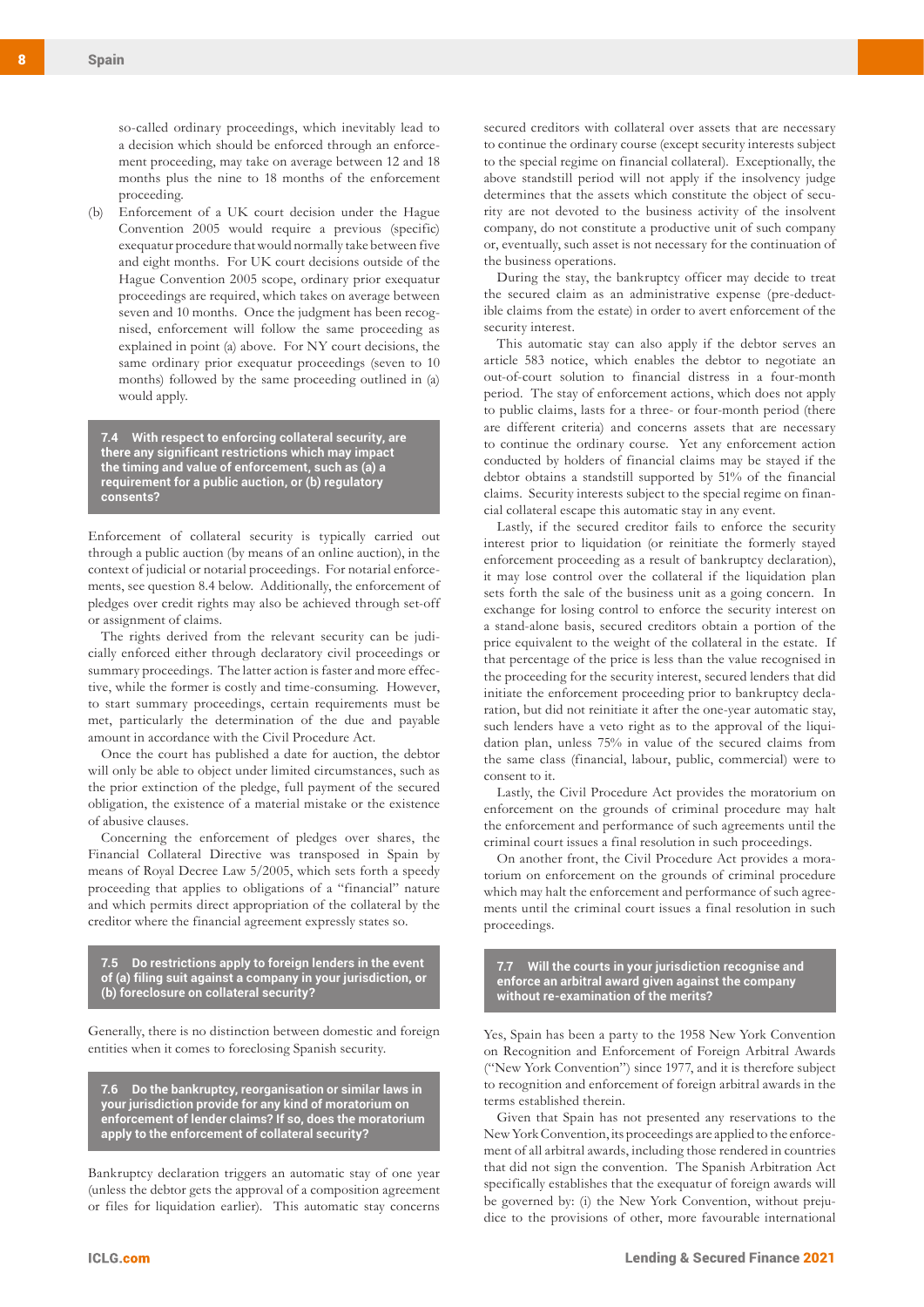so-called ordinary proceedings, which inevitably lead to a decision which should be enforced through an enforcement proceeding, may take on average between 12 and 18 months plus the nine to 18 months of the enforcement proceeding.

(b) Enforcement of a UK court decision under the Hague Convention 2005 would require a previous (specific) exequatur procedure that would normally take between five and eight months. For UK court decisions outside of the Hague Convention 2005 scope, ordinary prior exequatur proceedings are required, which takes on average between seven and 10 months. Once the judgment has been recognised, enforcement will follow the same proceeding as explained in point (a) above. For NY court decisions, the same ordinary prior exequatur proceedings (seven to 10 months) followed by the same proceeding outlined in (a) would apply.

**7.4 With respect to enforcing collateral security, are there any significant restrictions which may impact the timing and value of enforcement, such as (a) a requirement for a public auction, or (b) regulatory consents?**

Enforcement of collateral security is typically carried out through a public auction (by means of an online auction), in the context of judicial or notarial proceedings. For notarial enforcements, see question 8.4 below. Additionally, the enforcement of pledges over credit rights may also be achieved through set-off or assignment of claims.

The rights derived from the relevant security can be judicially enforced either through declaratory civil proceedings or summary proceedings. The latter action is faster and more effective, while the former is costly and time-consuming. However, to start summary proceedings, certain requirements must be met, particularly the determination of the due and payable amount in accordance with the Civil Procedure Act.

Once the court has published a date for auction, the debtor will only be able to object under limited circumstances, such as the prior extinction of the pledge, full payment of the secured obligation, the existence of a material mistake or the existence of abusive clauses.

Concerning the enforcement of pledges over shares, the Financial Collateral Directive was transposed in Spain by means of Royal Decree Law 5/2005, which sets forth a speedy proceeding that applies to obligations of a "financial" nature and which permits direct appropriation of the collateral by the creditor where the financial agreement expressly states so.

**7.5 Do restrictions apply to foreign lenders in the event of (a) filing suit against a company in your jurisdiction, or (b) foreclosure on collateral security?**

Generally, there is no distinction between domestic and foreign entities when it comes to foreclosing Spanish security.

**7.6 Do the bankruptcy, reorganisation or similar laws in your jurisdiction provide for any kind of moratorium on enforcement of lender claims? If so, does the moratorium apply to the enforcement of collateral security?**

Bankruptcy declaration triggers an automatic stay of one year (unless the debtor gets the approval of a composition agreement or files for liquidation earlier). This automatic stay concerns

secured creditors with collateral over assets that are necessary to continue the ordinary course (except security interests subject to the special regime on financial collateral). Exceptionally, the above standstill period will not apply if the insolvency judge determines that the assets which constitute the object of security are not devoted to the business activity of the insolvent company, do not constitute a productive unit of such company or, eventually, such asset is not necessary for the continuation of the business operations.

During the stay, the bankruptcy officer may decide to treat the secured claim as an administrative expense (pre-deductible claims from the estate) in order to avert enforcement of the security interest.

This automatic stay can also apply if the debtor serves an article 583 notice, which enables the debtor to negotiate an out-of-court solution to financial distress in a four-month period. The stay of enforcement actions, which does not apply to public claims, lasts for a three- or four-month period (there are different criteria) and concerns assets that are necessary to continue the ordinary course. Yet any enforcement action conducted by holders of financial claims may be stayed if the debtor obtains a standstill supported by 51% of the financial claims. Security interests subject to the special regime on financial collateral escape this automatic stay in any event.

Lastly, if the secured creditor fails to enforce the security interest prior to liquidation (or reinitiate the formerly stayed enforcement proceeding as a result of bankruptcy declaration), it may lose control over the collateral if the liquidation plan sets forth the sale of the business unit as a going concern. In exchange for losing control to enforce the security interest on a stand-alone basis, secured creditors obtain a portion of the price equivalent to the weight of the collateral in the estate. If that percentage of the price is less than the value recognised in the proceeding for the security interest, secured lenders that did initiate the enforcement proceeding prior to bankruptcy declaration, but did not reinitiate it after the one-year automatic stay, such lenders have a veto right as to the approval of the liquidation plan, unless 75% in value of the secured claims from the same class (financial, labour, public, commercial) were to consent to it.

Lastly, the Civil Procedure Act provides the moratorium on enforcement on the grounds of criminal procedure may halt the enforcement and performance of such agreements until the criminal court issues a final resolution in such proceedings.

On another front, the Civil Procedure Act provides a moratorium on enforcement on the grounds of criminal procedure which may halt the enforcement and performance of such agreements until the criminal court issues a final resolution in such proceedings.

**7.7 Will the courts in your jurisdiction recognise and enforce an arbitral award given against the company without re-examination of the merits?**

Yes, Spain has been a party to the 1958 New York Convention on Recognition and Enforcement of Foreign Arbitral Awards ("New York Convention") since 1977, and it is therefore subject to recognition and enforcement of foreign arbitral awards in the terms established therein.

Given that Spain has not presented any reservations to the New York Convention, its proceedings are applied to the enforcement of all arbitral awards, including those rendered in countries that did not sign the convention. The Spanish Arbitration Act specifically establishes that the exequatur of foreign awards will be governed by: (i) the New York Convention, without prejudice to the provisions of other, more favourable international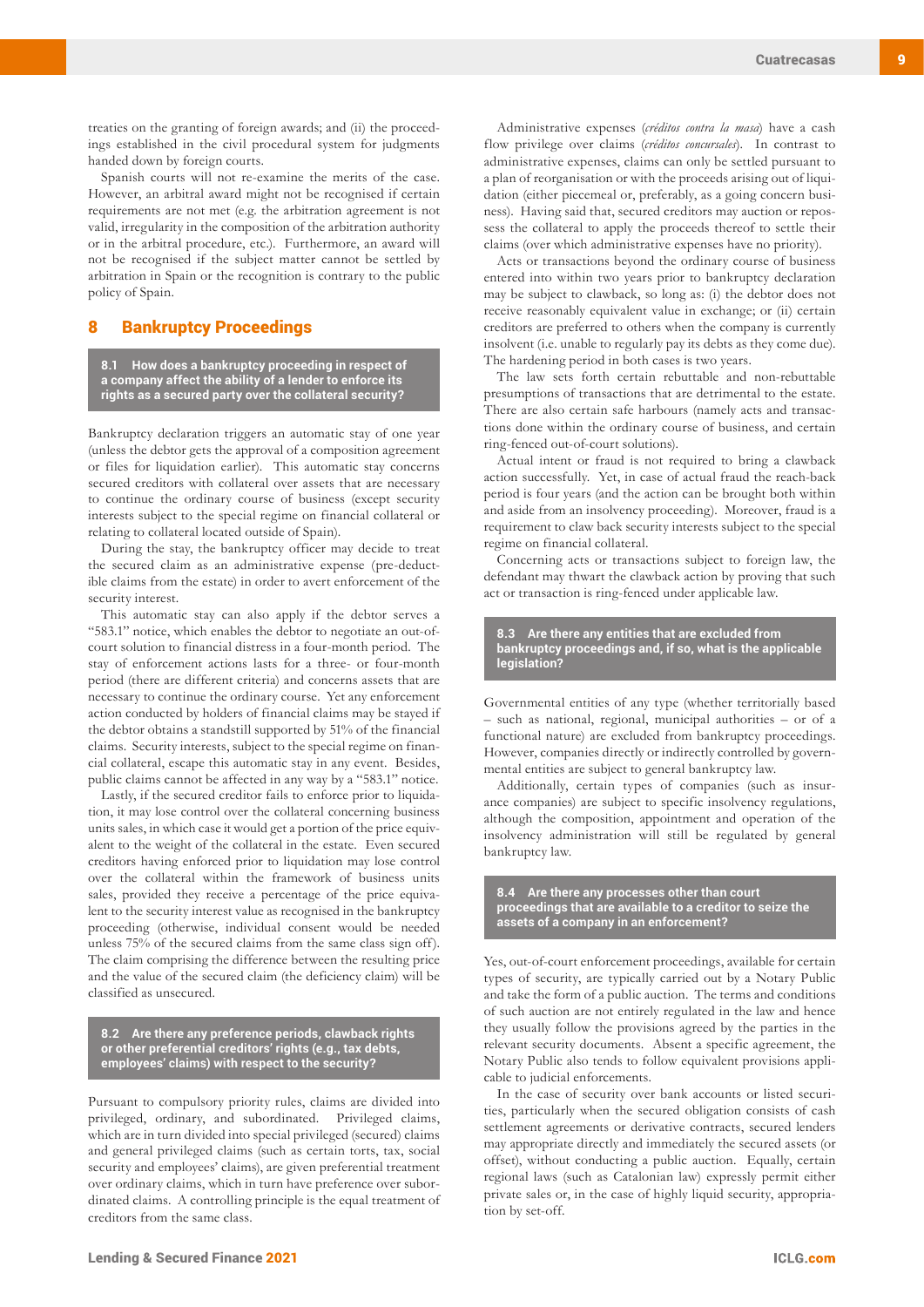treaties on the granting of foreign awards; and (ii) the proceedings established in the civil procedural system for judgments handed down by foreign courts.

Spanish courts will not re-examine the merits of the case. However, an arbitral award might not be recognised if certain requirements are not met (e.g. the arbitration agreement is not valid, irregularity in the composition of the arbitration authority or in the arbitral procedure, etc.). Furthermore, an award will not be recognised if the subject matter cannot be settled by arbitration in Spain or the recognition is contrary to the public policy of Spain.

# 8 Bankruptcy Proceedings

**8.1 How does a bankruptcy proceeding in respect of a company affect the ability of a lender to enforce its rights as a secured party over the collateral security?**

Bankruptcy declaration triggers an automatic stay of one year (unless the debtor gets the approval of a composition agreement or files for liquidation earlier). This automatic stay concerns secured creditors with collateral over assets that are necessary to continue the ordinary course of business (except security interests subject to the special regime on financial collateral or relating to collateral located outside of Spain).

During the stay, the bankruptcy officer may decide to treat the secured claim as an administrative expense (pre-deductible claims from the estate) in order to avert enforcement of the security interest.

This automatic stay can also apply if the debtor serves a "583.1" notice, which enables the debtor to negotiate an out-ofcourt solution to financial distress in a four-month period. The stay of enforcement actions lasts for a three- or four-month period (there are different criteria) and concerns assets that are necessary to continue the ordinary course. Yet any enforcement action conducted by holders of financial claims may be stayed if the debtor obtains a standstill supported by 51% of the financial claims. Security interests, subject to the special regime on financial collateral, escape this automatic stay in any event. Besides, public claims cannot be affected in any way by a "583.1" notice.

Lastly, if the secured creditor fails to enforce prior to liquidation, it may lose control over the collateral concerning business units sales, in which case it would get a portion of the price equivalent to the weight of the collateral in the estate. Even secured creditors having enforced prior to liquidation may lose control over the collateral within the framework of business units sales, provided they receive a percentage of the price equivalent to the security interest value as recognised in the bankruptcy proceeding (otherwise, individual consent would be needed unless 75% of the secured claims from the same class sign off). The claim comprising the difference between the resulting price and the value of the secured claim (the deficiency claim) will be classified as unsecured.

**8.2 Are there any preference periods, clawback rights or other preferential creditors' rights (e.g., tax debts, employees' claims) with respect to the security?**

Pursuant to compulsory priority rules, claims are divided into privileged, ordinary, and subordinated. Privileged claims, which are in turn divided into special privileged (secured) claims and general privileged claims (such as certain torts, tax, social security and employees' claims), are given preferential treatment over ordinary claims, which in turn have preference over subordinated claims. A controlling principle is the equal treatment of creditors from the same class.

Administrative expenses (*créditos contra la masa*) have a cash flow privilege over claims (*créditos concursales*). In contrast to administrative expenses, claims can only be settled pursuant to a plan of reorganisation or with the proceeds arising out of liquidation (either piecemeal or, preferably, as a going concern business). Having said that, secured creditors may auction or repossess the collateral to apply the proceeds thereof to settle their claims (over which administrative expenses have no priority).

Acts or transactions beyond the ordinary course of business entered into within two years prior to bankruptcy declaration may be subject to clawback, so long as: (i) the debtor does not receive reasonably equivalent value in exchange; or (ii) certain creditors are preferred to others when the company is currently insolvent (i.e. unable to regularly pay its debts as they come due). The hardening period in both cases is two years.

The law sets forth certain rebuttable and non-rebuttable presumptions of transactions that are detrimental to the estate. There are also certain safe harbours (namely acts and transactions done within the ordinary course of business, and certain ring-fenced out-of-court solutions).

Actual intent or fraud is not required to bring a clawback action successfully. Yet, in case of actual fraud the reach-back period is four years (and the action can be brought both within and aside from an insolvency proceeding). Moreover, fraud is a requirement to claw back security interests subject to the special regime on financial collateral.

Concerning acts or transactions subject to foreign law, the defendant may thwart the clawback action by proving that such act or transaction is ring-fenced under applicable law.

**8.3 Are there any entities that are excluded from bankruptcy proceedings and, if so, what is the applicable legislation?**

Governmental entities of any type (whether territorially based – such as national, regional, municipal authorities – or of a functional nature) are excluded from bankruptcy proceedings. However, companies directly or indirectly controlled by governmental entities are subject to general bankruptcy law.

Additionally, certain types of companies (such as insurance companies) are subject to specific insolvency regulations, although the composition, appointment and operation of the insolvency administration will still be regulated by general bankruptcy law.

**8.4 Are there any processes other than court proceedings that are available to a creditor to seize the assets of a company in an enforcement?**

Yes, out-of-court enforcement proceedings, available for certain types of security, are typically carried out by a Notary Public and take the form of a public auction. The terms and conditions of such auction are not entirely regulated in the law and hence they usually follow the provisions agreed by the parties in the relevant security documents. Absent a specific agreement, the Notary Public also tends to follow equivalent provisions applicable to judicial enforcements.

In the case of security over bank accounts or listed securities, particularly when the secured obligation consists of cash settlement agreements or derivative contracts, secured lenders may appropriate directly and immediately the secured assets (or offset), without conducting a public auction. Equally, certain regional laws (such as Catalonian law) expressly permit either private sales or, in the case of highly liquid security, appropriation by set-off.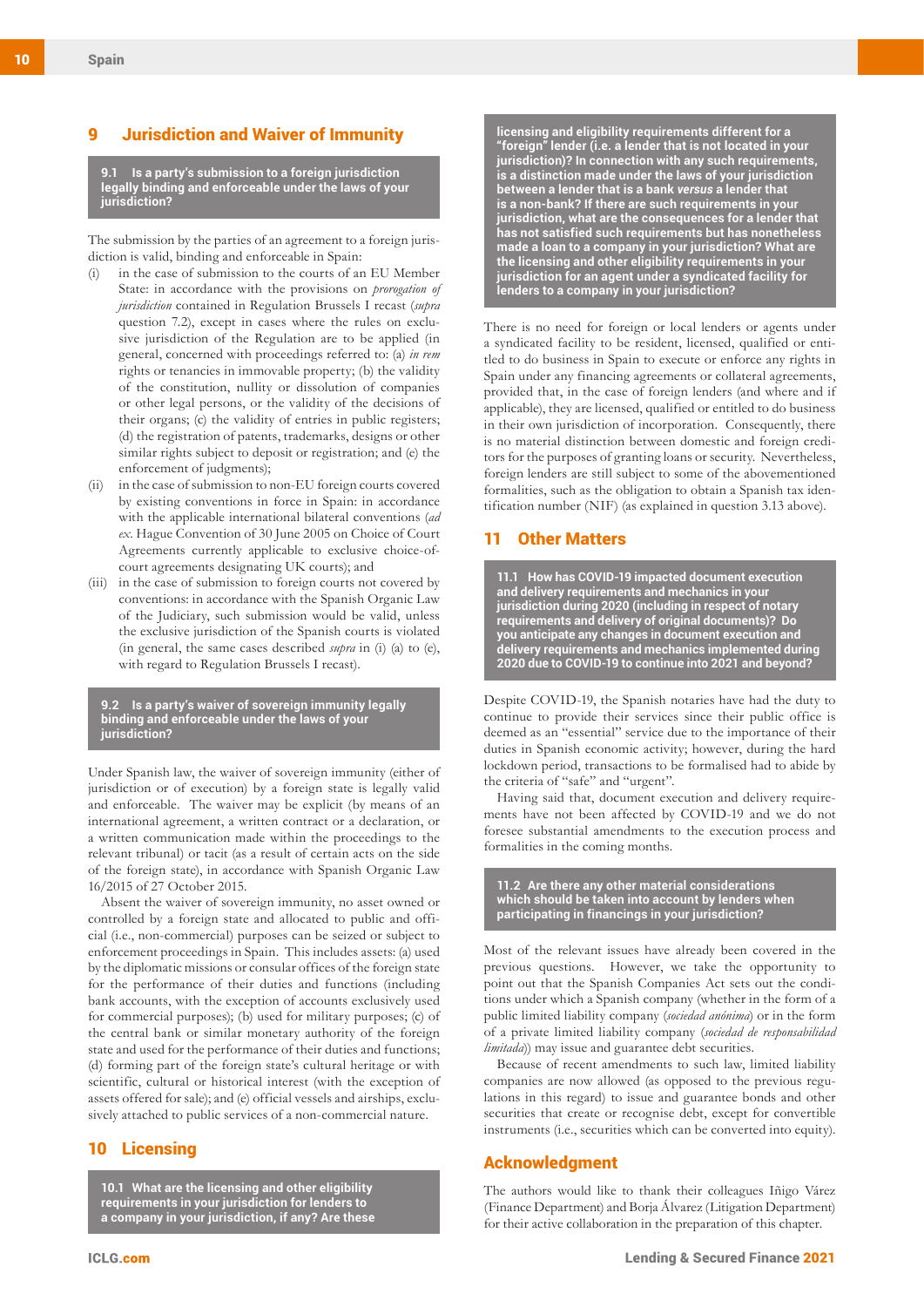## 9 Jurisdiction and Waiver of Immunity

**9.1 Is a party's submission to a foreign jurisdiction legally binding and enforceable under the laws of your jurisdiction?**

The submission by the parties of an agreement to a foreign jurisdiction is valid, binding and enforceable in Spain:

- in the case of submission to the courts of an EU Member State: in accordance with the provisions on *prorogation of jurisdiction* contained in Regulation Brussels I recast (*supra* question 7.2), except in cases where the rules on exclusive jurisdiction of the Regulation are to be applied (in general, concerned with proceedings referred to: (a) *in rem* rights or tenancies in immovable property; (b) the validity of the constitution, nullity or dissolution of companies or other legal persons, or the validity of the decisions of their organs; (c) the validity of entries in public registers; (d) the registration of patents, trademarks, designs or other similar rights subject to deposit or registration; and (e) the enforcement of judgments);
- (ii) in the case of submission to non-EU foreign courts covered by existing conventions in force in Spain: in accordance with the applicable international bilateral conventions (*ad ex*. Hague Convention of 30 June 2005 on Choice of Court Agreements currently applicable to exclusive choice-ofcourt agreements designating UK courts); and
- (iii) in the case of submission to foreign courts not covered by conventions: in accordance with the Spanish Organic Law of the Judiciary, such submission would be valid, unless the exclusive jurisdiction of the Spanish courts is violated (in general, the same cases described *supra* in (i) (a) to (e), with regard to Regulation Brussels I recast).

**9.2 Is a party's waiver of sovereign immunity legally binding and enforceable under the laws of your jurisdiction?**

Under Spanish law, the waiver of sovereign immunity (either of jurisdiction or of execution) by a foreign state is legally valid and enforceable. The waiver may be explicit (by means of an international agreement, a written contract or a declaration, or a written communication made within the proceedings to the relevant tribunal) or tacit (as a result of certain acts on the side of the foreign state), in accordance with Spanish Organic Law 16/2015 of 27 October 2015.

Absent the waiver of sovereign immunity, no asset owned or controlled by a foreign state and allocated to public and official (i.e., non-commercial) purposes can be seized or subject to enforcement proceedings in Spain. This includes assets: (a) used by the diplomatic missions or consular offices of the foreign state for the performance of their duties and functions (including bank accounts, with the exception of accounts exclusively used for commercial purposes); (b) used for military purposes; (c) of the central bank or similar monetary authority of the foreign state and used for the performance of their duties and functions; (d) forming part of the foreign state's cultural heritage or with scientific, cultural or historical interest (with the exception of assets offered for sale); and (e) official vessels and airships, exclusively attached to public services of a non-commercial nature.

# 10 Licensing

**10.1 What are the licensing and other eligibility requirements in your jurisdiction for lenders to a company in your jurisdiction, if any? Are these** 

**licensing and eligibility requirements different for a "foreign" lender (i.e. a lender that is not located in your jurisdiction)? In connection with any such requirements, is a distinction made under the laws of your jurisdiction between a lender that is a bank** *versus* **a lender that is a non-bank? If there are such requirements in your jurisdiction, what are the consequences for a lender that has not satisfied such requirements but has nonetheless made a loan to a company in your jurisdiction? What are the licensing and other eligibility requirements in your jurisdiction for an agent under a syndicated facility for lenders to a company in your jurisdiction?**

There is no need for foreign or local lenders or agents under a syndicated facility to be resident, licensed, qualified or entitled to do business in Spain to execute or enforce any rights in Spain under any financing agreements or collateral agreements, provided that, in the case of foreign lenders (and where and if applicable), they are licensed, qualified or entitled to do business in their own jurisdiction of incorporation. Consequently, there is no material distinction between domestic and foreign creditors for the purposes of granting loans or security. Nevertheless, foreign lenders are still subject to some of the abovementioned formalities, such as the obligation to obtain a Spanish tax identification number (NIF) (as explained in question 3.13 above).

## 11 Other Matters

**11.1 How has COVID-19 impacted document execution and delivery requirements and mechanics in your jurisdiction during 2020 (including in respect of notary requirements and delivery of original documents)? Do you anticipate any changes in document execution and delivery requirements and mechanics implemented during 2020 due to COVID-19 to continue into 2021 and beyond?**

Despite COVID-19, the Spanish notaries have had the duty to continue to provide their services since their public office is deemed as an "essential" service due to the importance of their duties in Spanish economic activity; however, during the hard lockdown period, transactions to be formalised had to abide by the criteria of "safe" and "urgent".

Having said that, document execution and delivery requirements have not been affected by COVID-19 and we do not foresee substantial amendments to the execution process and formalities in the coming months.

**11.2 Are there any other material considerations which should be taken into account by lenders when participating in financings in your jurisdiction?**

Most of the relevant issues have already been covered in the previous questions. However, we take the opportunity to point out that the Spanish Companies Act sets out the conditions under which a Spanish company (whether in the form of a public limited liability company (*sociedad anónima*) or in the form of a private limited liability company (*sociedad de responsabilidad limitada*)) may issue and guarantee debt securities.

Because of recent amendments to such law, limited liability companies are now allowed (as opposed to the previous regulations in this regard) to issue and guarantee bonds and other securities that create or recognise debt, except for convertible instruments (i.e., securities which can be converted into equity).

# Acknowledgment

The authors would like to thank their colleagues Iñigo Várez (Finance Department) and Borja Álvarez (Litigation Department) for their active collaboration in the preparation of this chapter.